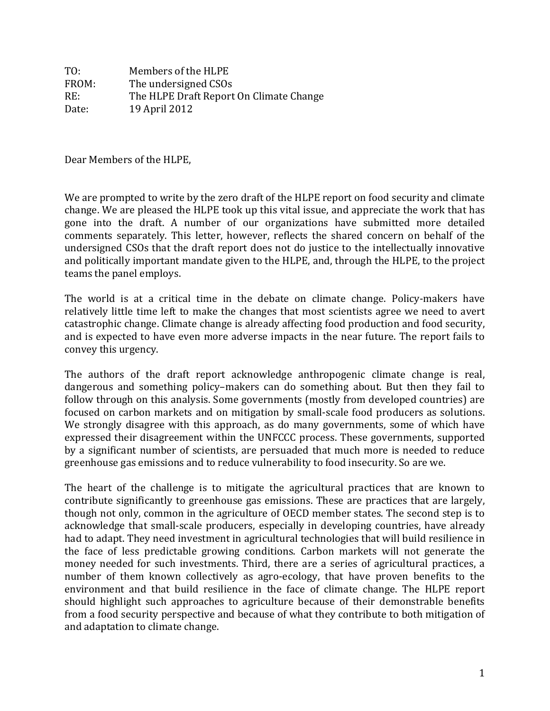TO: Members of the HLPE FROM: The undersigned CSOs RE: The HLPE Draft Report On Climate Change Date: 19 April 2012

Dear Members of the HLPE,

We are prompted to write by the zero draft of the HLPE report on food security and climate change. We are pleased the HLPE took up this vital issue, and appreciate the work that has gone into the draft. A number of our organizations have submitted more detailed comments separately. This letter, however, reflects the shared concern on behalf of the undersigned CSOs that the draft report does not do justice to the intellectually innovative and politically important mandate given to the HLPE, and, through the HLPE, to the project teams the panel employs.

The world is at a critical time in the debate on climate change. Policy-makers have relatively little time left to make the changes that most scientists agree we need to avert catastrophic change. Climate change is already affecting food production and food security, and is expected to have even more adverse impacts in the near future. The report fails to convey this urgency.

The authors of the draft report acknowledge anthropogenic climate change is real, dangerous and something policy–makers can do something about. But then they fail to follow through on this analysis. Some governments (mostly from developed countries) are focused on carbon markets and on mitigation by small-scale food producers as solutions. We strongly disagree with this approach, as do many governments, some of which have expressed their disagreement within the UNFCCC process. These governments, supported by a significant number of scientists, are persuaded that much more is needed to reduce greenhouse gas emissions and to reduce vulnerability to food insecurity. So are we.

The heart of the challenge is to mitigate the agricultural practices that are known to contribute significantly to greenhouse gas emissions. These are practices that are largely, though not only, common in the agriculture of OECD member states. The second step is to acknowledge that small-scale producers, especially in developing countries, have already had to adapt. They need investment in agricultural technologies that will build resilience in the face of less predictable growing conditions. Carbon markets will not generate the money needed for such investments. Third, there are a series of agricultural practices, a number of them known collectively as agro-ecology, that have proven benefits to the environment and that build resilience in the face of climate change. The HLPE report should highlight such approaches to agriculture because of their demonstrable benefits from a food security perspective and because of what they contribute to both mitigation of and adaptation to climate change.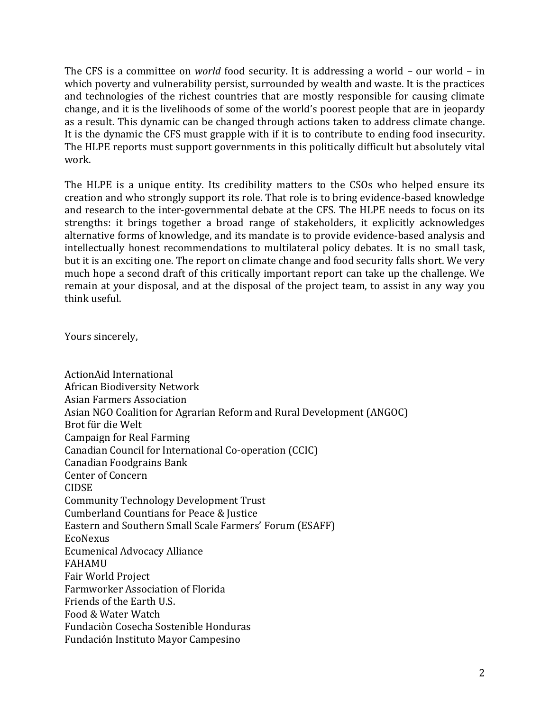The CFS is a committee on *world* food security. It is addressing a world – our world – in which poverty and vulnerability persist, surrounded by wealth and waste. It is the practices and technologies of the richest countries that are mostly responsible for causing climate change, and it is the livelihoods of some of the world's poorest people that are in jeopardy as a result. This dynamic can be changed through actions taken to address climate change. It is the dynamic the CFS must grapple with if it is to contribute to ending food insecurity. The HLPE reports must support governments in this politically difficult but absolutely vital work.

The HLPE is a unique entity. Its credibility matters to the CSOs who helped ensure its creation and who strongly support its role. That role is to bring evidence-based knowledge and research to the inter-governmental debate at the CFS. The HLPE needs to focus on its strengths: it brings together a broad range of stakeholders, it explicitly acknowledges alternative forms of knowledge, and its mandate is to provide evidence-based analysis and intellectually honest recommendations to multilateral policy debates. It is no small task, but it is an exciting one. The report on climate change and food security falls short. We very much hope a second draft of this critically important report can take up the challenge. We remain at your disposal, and at the disposal of the project team, to assist in any way you think useful.

Yours sincerely,

ActionAid International African Biodiversity Network Asian Farmers Association Asian NGO Coalition for Agrarian Reform and Rural Development (ANGOC) Brot für die Welt Campaign for Real Farming Canadian Council for International Co-operation (CCIC) Canadian Foodgrains Bank Center of Concern CIDSE Community Technology Development Trust Cumberland Countians for Peace & Justice Eastern and Southern Small Scale Farmers' Forum (ESAFF) EcoNexus Ecumenical Advocacy Alliance FAHAMU Fair World Project Farmworker Association of Florida Friends of the Earth U.S. Food & Water Watch Fundaciòn Cosecha Sostenible Honduras Fundación Instituto Mayor Campesino